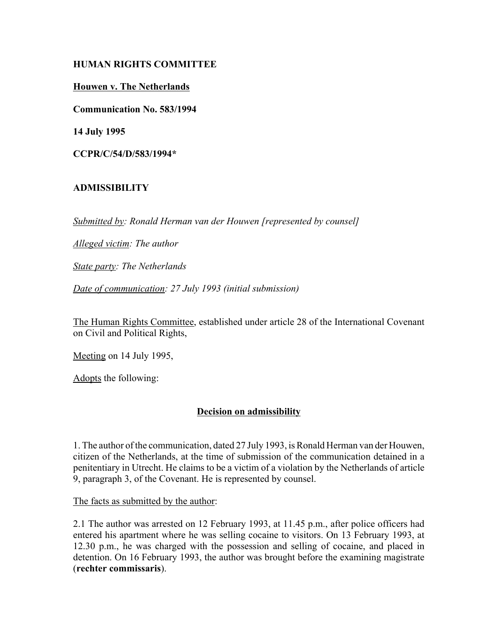# **HUMAN RIGHTS COMMITTEE**

### **Houwen v. The Netherlands**

**Communication No. 583/1994**

**14 July 1995**

**CCPR/C/54/D/583/1994\***

# **ADMISSIBILITY**

*Submitted by: Ronald Herman van der Houwen [represented by counsel]*

*Alleged victim: The author*

*State party: The Netherlands*

*Date of communication: 27 July 1993 (initial submission)*

The Human Rights Committee, established under article 28 of the International Covenant on Civil and Political Rights,

Meeting on 14 July 1995,

Adopts the following:

# **Decision on admissibility**

1. The author of the communication, dated 27 July 1993, is Ronald Herman van der Houwen, citizen of the Netherlands, at the time of submission of the communication detained in a penitentiary in Utrecht. He claims to be a victim of a violation by the Netherlands of article 9, paragraph 3, of the Covenant. He is represented by counsel.

The facts as submitted by the author:

2.1 The author was arrested on 12 February 1993, at 11.45 p.m., after police officers had entered his apartment where he was selling cocaine to visitors. On 13 February 1993, at 12.30 p.m., he was charged with the possession and selling of cocaine, and placed in detention. On 16 February 1993, the author was brought before the examining magistrate (**rechter commissaris**).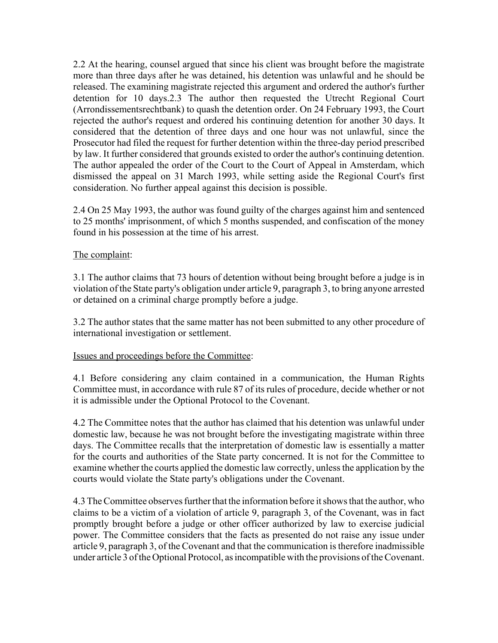2.2 At the hearing, counsel argued that since his client was brought before the magistrate more than three days after he was detained, his detention was unlawful and he should be released. The examining magistrate rejected this argument and ordered the author's further detention for 10 days.2.3 The author then requested the Utrecht Regional Court (Arrondissementsrechtbank) to quash the detention order. On 24 February 1993, the Court rejected the author's request and ordered his continuing detention for another 30 days. It considered that the detention of three days and one hour was not unlawful, since the Prosecutor had filed the request for further detention within the three-day period prescribed by law. It further considered that grounds existed to order the author's continuing detention. The author appealed the order of the Court to the Court of Appeal in Amsterdam, which dismissed the appeal on 31 March 1993, while setting aside the Regional Court's first consideration. No further appeal against this decision is possible.

2.4 On 25 May 1993, the author was found guilty of the charges against him and sentenced to 25 months' imprisonment, of which 5 months suspended, and confiscation of the money found in his possession at the time of his arrest.

#### The complaint:

3.1 The author claims that 73 hours of detention without being brought before a judge is in violation of the State party's obligation under article 9, paragraph 3, to bring anyone arrested or detained on a criminal charge promptly before a judge.

3.2 The author states that the same matter has not been submitted to any other procedure of international investigation or settlement.

#### Issues and proceedings before the Committee:

4.1 Before considering any claim contained in a communication, the Human Rights Committee must, in accordance with rule 87 of its rules of procedure, decide whether or not it is admissible under the Optional Protocol to the Covenant.

4.2 The Committee notes that the author has claimed that his detention was unlawful under domestic law, because he was not brought before the investigating magistrate within three days. The Committee recalls that the interpretation of domestic law is essentially a matter for the courts and authorities of the State party concerned. It is not for the Committee to examine whether the courts applied the domestic law correctly, unless the application by the courts would violate the State party's obligations under the Covenant.

4.3 The Committee observes further that the information before it shows that the author, who claims to be a victim of a violation of article 9, paragraph 3, of the Covenant, was in fact promptly brought before a judge or other officer authorized by law to exercise judicial power. The Committee considers that the facts as presented do not raise any issue under article 9, paragraph 3, of the Covenant and that the communication is therefore inadmissible under article 3 of the Optional Protocol, as incompatible with the provisions of the Covenant.